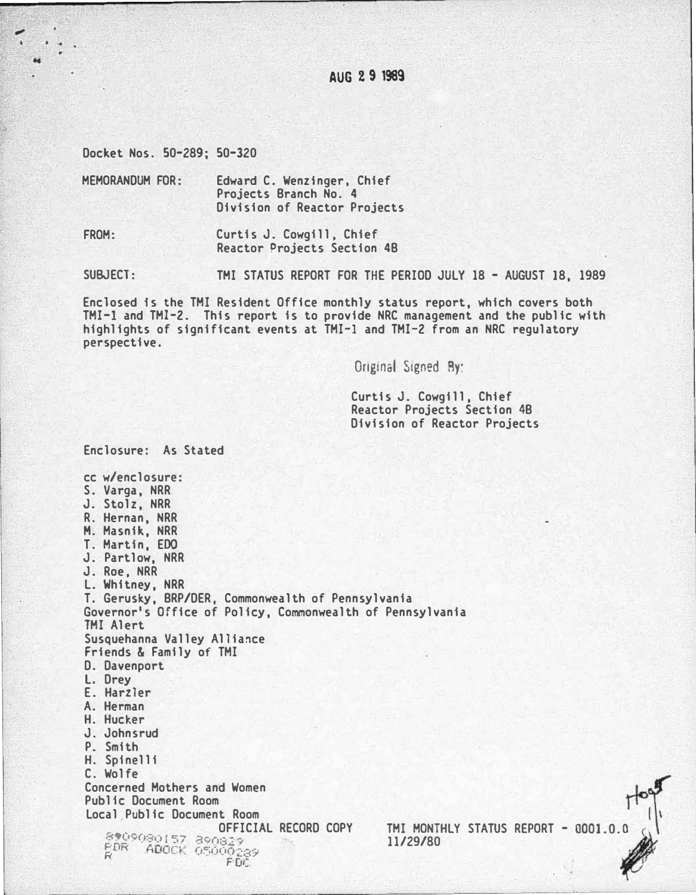AUG 2 9 1989

Docket Nos. 50-289; 50-320

Enclosure: As Stated

MEMORANDUM FOR: Edward C. Wenzinger, Chief Projects Branch No. 4 Division of Reactor Projects

FROM: Curtis J. Cowgill, Chief Reactor Projects Section 4B

SUBJECT: TMI STATUS REPORT FOR THE PERIOD JULY 18 - AUGUST 18, 1989

Enclosed is the TMI Resident Office monthly status report, which covers both TMI-1 and TMI-2. This report is to provide NRC management and the public with highlights of significant events at TMI-1 and TMI-2 from an NRC regulatory perspective.

Original Signed By:

Curtis J. Cowgill, Chief Reactor Projects Section 4B Division of Reactor Projects

cc w/enclosure: S. Varga, NRR J. Stolz, NRR R. Hernan, NRR M. Masnik, NRR T. Martin, EDO J. Partlow, NRR J. Roe, NRR L. Whitney, NRR T. Gerusky, BRP/DER, Commonwealth of Pennsylvania Governor's Office of Policy, Commonwealth of Pennsylvania TMI Alert Susquehanna Valley Alliance Friends & Family of TMI D. Davenport L. Drey E. Harzler A. Herman H Hucker J. Johnsrud P. Smith H. Spinelli C. Wolfe TMI MONTHLY STATUS REPORT - 0001.0.0 Concerned Mothers and Women Public Document Room Local Public Document Room OFFICIAL RECORD COPY 8909080157 890829<br>PDR ADOCK 05000289 FDC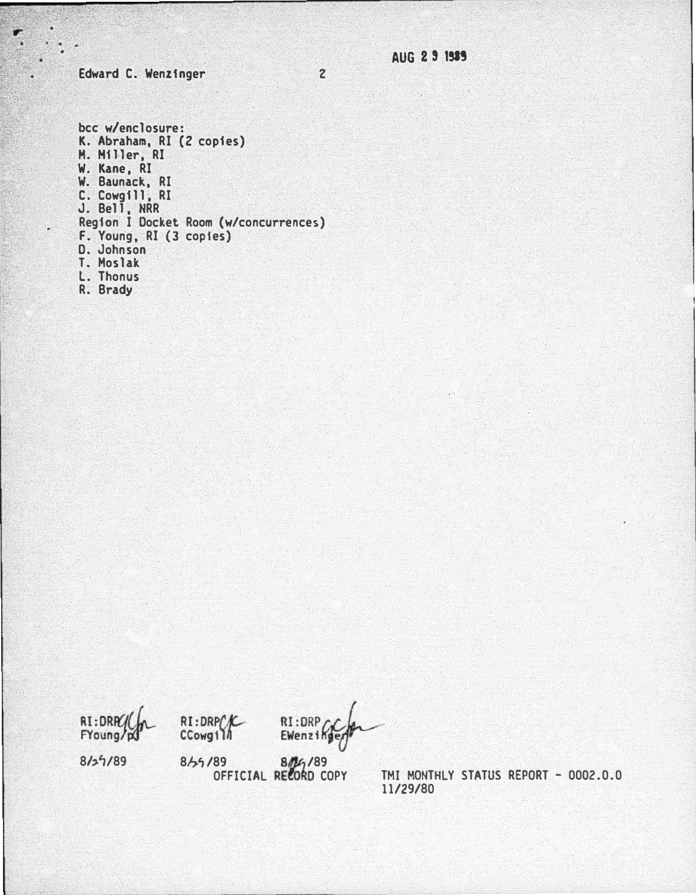Edward C. Wenzinger

÷

AUG 2 9 1989

bcc w/enclosure: K. Abraham, RI (2 copies)<br>M. Miller, RI W. Kane, RI<br>W. Baunack, RI C. Cowgill, RI<br>J. Bell, NRR Region I Docket Room (w/concurrences) F. Young, RI (3 copies)<br>D. Johnson<br>T. Moslak<br>L. Thonus R. Brady

RI:DRPC FYoung/p



RI:DRP EWenzing

 $8/29/89$ 

804/89<br>OFFICIAL RECORD COPY 8/25/89

TMI MONTHLY STATUS REPORT - 0002.0.0 11/29/80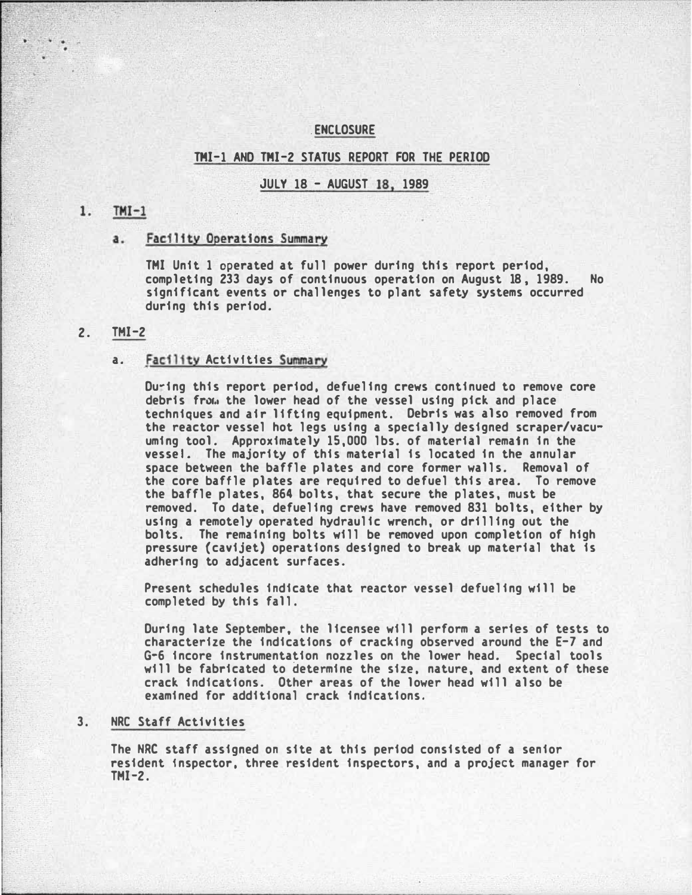## **ENCLOSURE**

# TMI-1 AND TMI-2 STATUS REPORT FOR THE PERIOD

#### **JULY 18 - AUGUST 18, 1989**

#### $TMI-1$  $1.$

#### a. Facility Operations Summary

TMI Unit 1 operated at full power during this report period, completing 233 days of continuous operation on August 18, 1989. No significant events or challenges to plant safety systems occurred during this period.

### 2. TMI-2

### a. facility Activfties Summary

During this report period, defueling crews continued to remove core debris frow the lower head of the vessel using pick and place techniques and air lifting equipment. Debris was also removed from the reactor vessel hot legs using a specially designed scraper/vacuuming tool. Approximately 15,000 lbs. of material remain in the vessel. The majority of this material is located in the annular space between the baffle plates and core former walls. Removal of the core baffle plates are required to defuel this area. To remove the baffle plates, 864 bolts, that secure the plates, must be removed. To date, defueling crews have removed 831 bolts, either by using a remotely operated hydraulic wrench, or drilling out the bolts. The remaining bolts will be removed upon completion of high pressure (cavijet) operations designed to break up material that is adhering to adjacent surfaces.

Present schedules indicate that reactor vessel defueling will be completed by this fall.

During late September, the licensee will perform a series of tests to characterize the indications of cracking observed around the  $E-7$  and G-6 incore instrumentation nozzles on the lower head. Special tools will be fabricated to determine the size, nature, and extent of these crack indications. Other areas of the lower head will also be examined for additional crack indications.

# 3. NRC Staff Activities

The NRC staff assigned on site at this period consisted of a senior resident inspector, three resident inspectors, and a project manager for  $TM-2.$